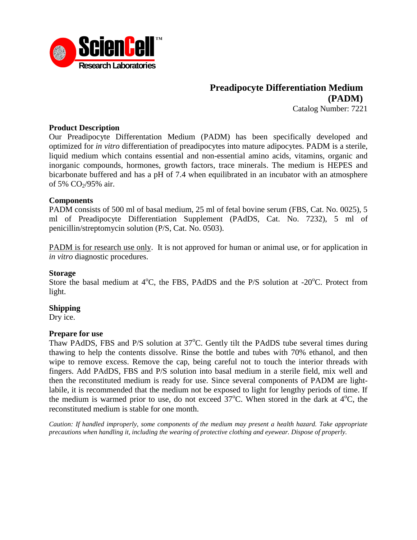

# **Preadipocyte Differentiation Medium (PADM)**

Catalog Number: 7221

### **Product Description**

Our Preadipocyte Differentation Medium (PADM) has been specifically developed and optimized for *in vitro* differentiation of preadipocytes into mature adipocytes. PADM is a sterile, liquid medium which contains essential and non-essential amino acids, vitamins, organic and inorganic compounds, hormones, growth factors, trace minerals. The medium is HEPES and bicarbonate buffered and has a pH of 7.4 when equilibrated in an incubator with an atmosphere of 5%  $CO<sub>2</sub>/95%$  air.

### **Components**

PADM consists of 500 ml of basal medium, 25 ml of fetal bovine serum (FBS, Cat. No. 0025), 5 ml of Preadipocyte Differentiation Supplement (PAdDS, Cat. No. 7232), 5 ml of penicillin/streptomycin solution (P/S, Cat. No. 0503).

PADM is for research use only. It is not approved for human or animal use, or for application in *in vitro* diagnostic procedures.

### **Storage**

Store the basal medium at  $4^{\circ}$ C, the FBS, PAdDS and the P/S solution at -20 $^{\circ}$ C. Protect from light.

### **Shipping**

Dry ice.

### **Prepare for use**

Thaw PAdDS, FBS and P/S solution at  $37^{\circ}$ C. Gently tilt the PAdDS tube several times during thawing to help the contents dissolve. Rinse the bottle and tubes with 70% ethanol, and then wipe to remove excess. Remove the cap, being careful not to touch the interior threads with fingers. Add PAdDS, FBS and P/S solution into basal medium in a sterile field, mix well and then the reconstituted medium is ready for use. Since several components of PADM are lightlabile, it is recommended that the medium not be exposed to light for lengthy periods of time. If the medium is warmed prior to use, do not exceed  $37^{\circ}$ C. When stored in the dark at  $4^{\circ}$ C, the reconstituted medium is stable for one month.

*Caution: If handled improperly, some components of the medium may present a health hazard. Take appropriate precautions when handling it, including the wearing of protective clothing and eyewear. Dispose of properly.*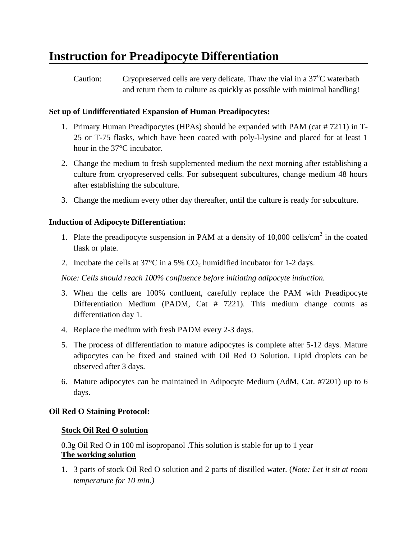# **Instruction for Preadipocyte Differentiation**

Caution: Cryopreserved cells are very delicate. Thaw the vial in a  $37^{\circ}$ C waterbath and return them to culture as quickly as possible with minimal handling!

# **Set up of Undifferentiated Expansion of Human Preadipocytes:**

- 1. Primary Human Preadipocytes (HPAs) should be expanded with PAM (cat # 7211) in T-25 or T-75 flasks, which have been coated with poly-l-lysine and placed for at least 1 hour in the 37°C incubator.
- 2. Change the medium to fresh supplemented medium the next morning after establishing a culture from cryopreserved cells. For subsequent subcultures, change medium 48 hours after establishing the subculture.
- 3. Change the medium every other day thereafter, until the culture is ready for subculture.

# **Induction of Adipocyte Differentiation:**

- 1. Plate the preadipocyte suspension in PAM at a density of  $10,000$  cells/cm<sup>2</sup> in the coated flask or plate.
- 2. Incubate the cells at  $37^{\circ}$ C in a 5% CO<sub>2</sub> humidified incubator for 1-2 days.

*Note: Cells should reach 100% confluence before initiating adipocyte induction.*

- 3. When the cells are 100% confluent, carefully replace the PAM with Preadipocyte Differentiation Medium (PADM, Cat # 7221). This medium change counts as differentiation day 1.
- 4. Replace the medium with fresh PADM every 2-3 days.
- 5. The process of differentiation to mature adipocytes is complete after 5-12 days. Mature adipocytes can be fixed and stained with Oil Red O Solution. Lipid droplets can be observed after 3 days.
- 6. Mature adipocytes can be maintained in Adipocyte Medium (AdM, Cat. #7201) up to 6 days.

## **Oil Red O Staining Protocol:**

## **Stock Oil Red O solution**

0.3g Oil Red O in 100 ml isopropanol .This solution is stable for up to 1 year **The working solution**

1. 3 parts of stock Oil Red O solution and 2 parts of distilled water. (*Note: Let it sit at room temperature for 10 min.)*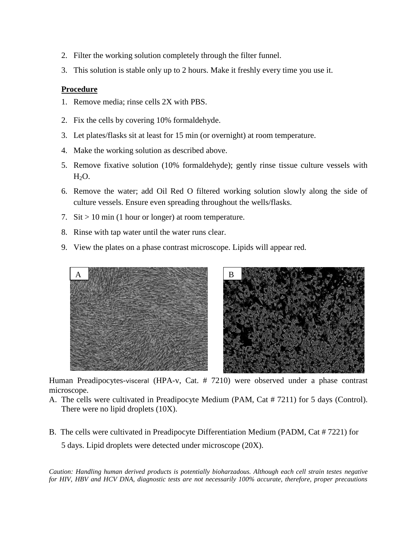- 2. Filter the working solution completely through the filter funnel.
- 3. This solution is stable only up to 2 hours. Make it freshly every time you use it.

### **Procedure**

- 1. Remove media; rinse cells 2X with PBS.
- 2. Fix the cells by covering 10% formaldehyde.
- 3. Let plates/flasks sit at least for 15 min (or overnight) at room temperature.
- 4. Make the working solution as described above.
- 5. Remove fixative solution (10% formaldehyde); gently rinse tissue culture vessels with  $H<sub>2</sub>O$ .
- 6. Remove the water; add Oil Red O filtered working solution slowly along the side of culture vessels. Ensure even spreading throughout the wells/flasks.
- 7. Sit  $> 10$  min (1 hour or longer) at room temperature.
- 8. Rinse with tap water until the water runs clear.
- 9. View the plates on a phase contrast microscope. Lipids will appear red.



Human Preadipocytes-visceral (HPA-v, Cat. # 7210) were observed under a phase contrast microscope.

- A. The cells were cultivated in Preadipocyte Medium (PAM, Cat # 7211) for 5 days (Control). There were no lipid droplets (10X).
- B. The cells were cultivated in Preadipocyte Differentiation Medium (PADM, Cat # 7221) for 5 days. Lipid droplets were detected under microscope (20X).

*Caution: Handling human derived products is potentially bioharzadous. Although each cell strain testes negative for HIV, HBV and HCV DNA, diagnostic tests are not necessarily 100% accurate, therefore, proper precautions*